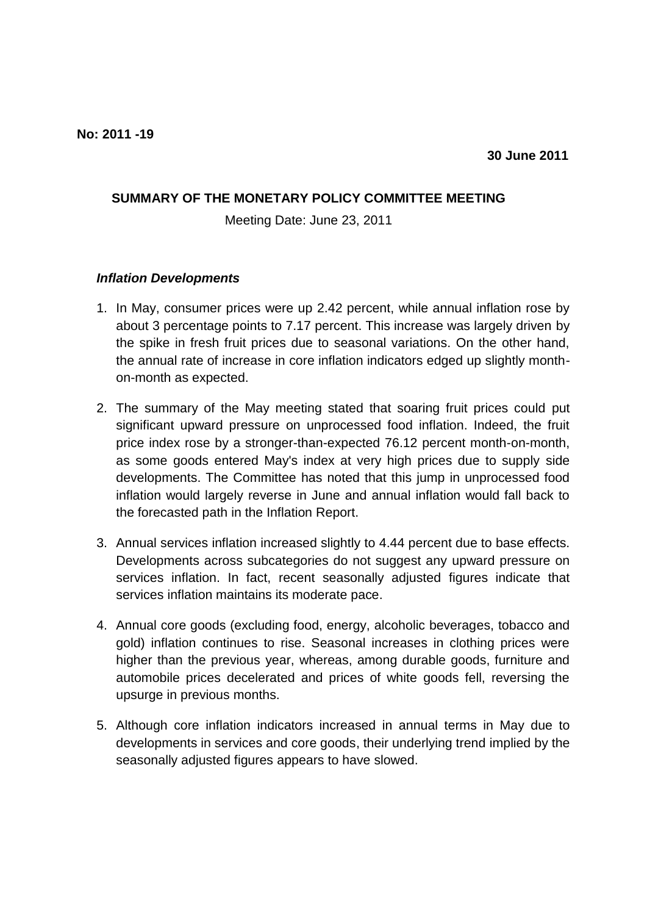## **SUMMARY OF THE MONETARY POLICY COMMITTEE MEETING**

Meeting Date: June 23, 2011

## *Inflation Developments*

- 1. In May, consumer prices were up 2.42 percent, while annual inflation rose by about 3 percentage points to 7.17 percent. This increase was largely driven by the spike in fresh fruit prices due to seasonal variations. On the other hand, the annual rate of increase in core inflation indicators edged up slightly monthon-month as expected.
- 2. The summary of the May meeting stated that soaring fruit prices could put significant upward pressure on unprocessed food inflation. Indeed, the fruit price index rose by a stronger-than-expected 76.12 percent month-on-month, as some goods entered May's index at very high prices due to supply side developments. The Committee has noted that this jump in unprocessed food inflation would largely reverse in June and annual inflation would fall back to the forecasted path in the Inflation Report.
- 3. Annual services inflation increased slightly to 4.44 percent due to base effects. Developments across subcategories do not suggest any upward pressure on services inflation. In fact, recent seasonally adjusted figures indicate that services inflation maintains its moderate pace.
- 4. Annual core goods (excluding food, energy, alcoholic beverages, tobacco and gold) inflation continues to rise. Seasonal increases in clothing prices were higher than the previous year, whereas, among durable goods, furniture and automobile prices decelerated and prices of white goods fell, reversing the upsurge in previous months.
- 5. Although core inflation indicators increased in annual terms in May due to developments in services and core goods, their underlying trend implied by the seasonally adjusted figures appears to have slowed.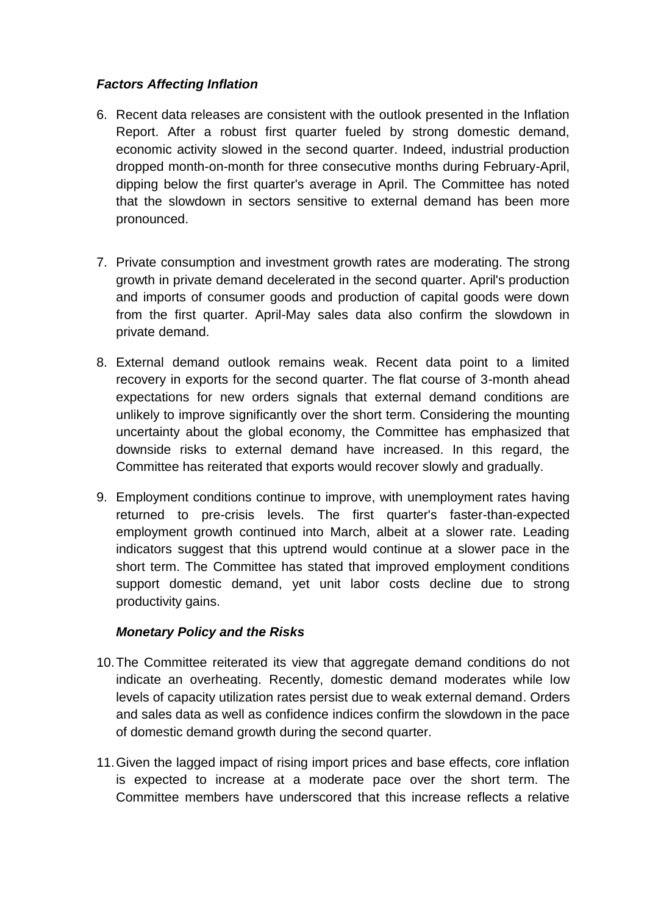## *Factors Affecting Inflation*

- 6. Recent data releases are consistent with the outlook presented in the Inflation Report. After a robust first quarter fueled by strong domestic demand, economic activity slowed in the second quarter. Indeed, industrial production dropped month-on-month for three consecutive months during February-April, dipping below the first quarter's average in April. The Committee has noted that the slowdown in sectors sensitive to external demand has been more pronounced.
- 7. Private consumption and investment growth rates are moderating. The strong growth in private demand decelerated in the second quarter. April's production and imports of consumer goods and production of capital goods were down from the first quarter. April-May sales data also confirm the slowdown in private demand.
- 8. External demand outlook remains weak. Recent data point to a limited recovery in exports for the second quarter. The flat course of 3-month ahead expectations for new orders signals that external demand conditions are unlikely to improve significantly over the short term. Considering the mounting uncertainty about the global economy, the Committee has emphasized that downside risks to external demand have increased. In this regard, the Committee has reiterated that exports would recover slowly and gradually.
- 9. Employment conditions continue to improve, with unemployment rates having returned to pre-crisis levels. The first quarter's faster-than-expected employment growth continued into March, albeit at a slower rate. Leading indicators suggest that this uptrend would continue at a slower pace in the short term. The Committee has stated that improved employment conditions support domestic demand, yet unit labor costs decline due to strong productivity gains.

## *Monetary Policy and the Risks*

- 10.The Committee reiterated its view that aggregate demand conditions do not indicate an overheating. Recently, domestic demand moderates while low levels of capacity utilization rates persist due to weak external demand. Orders and sales data as well as confidence indices confirm the slowdown in the pace of domestic demand growth during the second quarter.
- 11.Given the lagged impact of rising import prices and base effects, core inflation is expected to increase at a moderate pace over the short term. The Committee members have underscored that this increase reflects a relative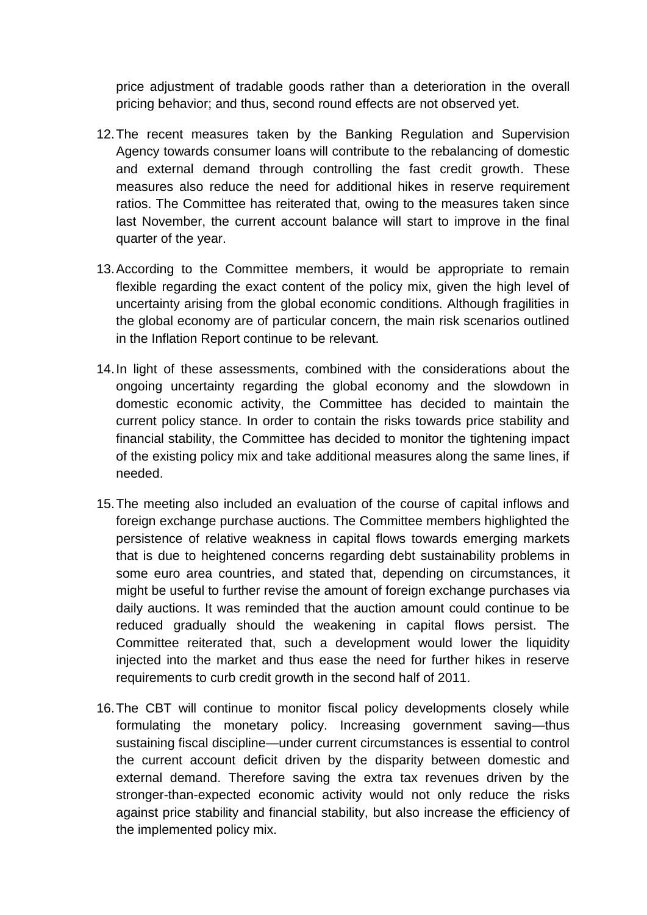price adjustment of tradable goods rather than a deterioration in the overall pricing behavior; and thus, second round effects are not observed yet.

- 12.The recent measures taken by the Banking Regulation and Supervision Agency towards consumer loans will contribute to the rebalancing of domestic and external demand through controlling the fast credit growth. These measures also reduce the need for additional hikes in reserve requirement ratios. The Committee has reiterated that, owing to the measures taken since last November, the current account balance will start to improve in the final quarter of the year.
- 13.According to the Committee members, it would be appropriate to remain flexible regarding the exact content of the policy mix, given the high level of uncertainty arising from the global economic conditions. Although fragilities in the global economy are of particular concern, the main risk scenarios outlined in the Inflation Report continue to be relevant.
- 14.In light of these assessments, combined with the considerations about the ongoing uncertainty regarding the global economy and the slowdown in domestic economic activity, the Committee has decided to maintain the current policy stance. In order to contain the risks towards price stability and financial stability, the Committee has decided to monitor the tightening impact of the existing policy mix and take additional measures along the same lines, if needed.
- 15.The meeting also included an evaluation of the course of capital inflows and foreign exchange purchase auctions. The Committee members highlighted the persistence of relative weakness in capital flows towards emerging markets that is due to heightened concerns regarding debt sustainability problems in some euro area countries, and stated that, depending on circumstances, it might be useful to further revise the amount of foreign exchange purchases via daily auctions. It was reminded that the auction amount could continue to be reduced gradually should the weakening in capital flows persist. The Committee reiterated that, such a development would lower the liquidity injected into the market and thus ease the need for further hikes in reserve requirements to curb credit growth in the second half of 2011.
- 16.The CBT will continue to monitor fiscal policy developments closely while formulating the monetary policy. Increasing government saving—thus sustaining fiscal discipline—under current circumstances is essential to control the current account deficit driven by the disparity between domestic and external demand. Therefore saving the extra tax revenues driven by the stronger-than-expected economic activity would not only reduce the risks against price stability and financial stability, but also increase the efficiency of the implemented policy mix.